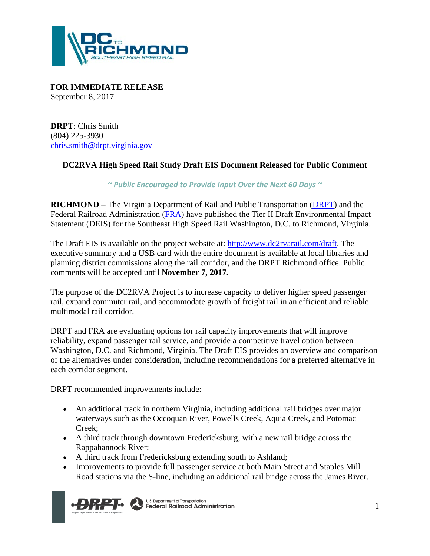

**FOR IMMEDIATE RELEASE** September 8, 2017

**DRPT**: Chris Smith (804) 225-3930 [chris.smith@drpt.virginia.gov](mailto:chris.smith@drpt.virginia.gov)

## **DC2RVA High Speed Rail Study Draft EIS Document Released for Public Comment**

*~ Public Encouraged to Provide Input Over the Next 60 Days ~*

**RICHMOND** – The Virginia Department of Rail and Public Transportation [\(DRPT\)](http://www.drpt.virginia.gov/) and the Federal Railroad Administration [\(FRA\)](https://www.fra.dot.gov/Page/P0029) have published the Tier II Draft Environmental Impact Statement (DEIS) for the Southeast High Speed Rail Washington, D.C. to Richmond, Virginia.

The Draft EIS is available on the project website at: [http://www.dc2rvarail.com/draft.](http://www.dc2rvarail.com/draft) The executive summary and a USB card with the entire document is available at local libraries and planning district commissions along the rail corridor, and the DRPT Richmond office. Public comments will be accepted until **November 7, 2017.**

The purpose of the DC2RVA Project is to increase capacity to deliver higher speed passenger rail, expand commuter rail, and accommodate growth of freight rail in an efficient and reliable multimodal rail corridor.

DRPT and FRA are evaluating options for rail capacity improvements that will improve reliability, expand passenger rail service, and provide a competitive travel option between Washington, D.C. and Richmond, Virginia. The Draft EIS provides an overview and comparison of the alternatives under consideration, including recommendations for a preferred alternative in each corridor segment.

DRPT recommended improvements include:

- An additional track in northern Virginia, including additional rail bridges over major waterways such as the Occoquan River, Powells Creek, Aquia Creek, and Potomac Creek;
- A third track through downtown Fredericksburg, with a new rail bridge across the Rappahannock River;
- A third track from Fredericksburg extending south to Ashland;
- Improvements to provide full passenger service at both Main Street and Staples Mill Road stations via the S-line, including an additional rail bridge across the James River.



U.S. Department of Transportation<br>**Federal Railroad Administration**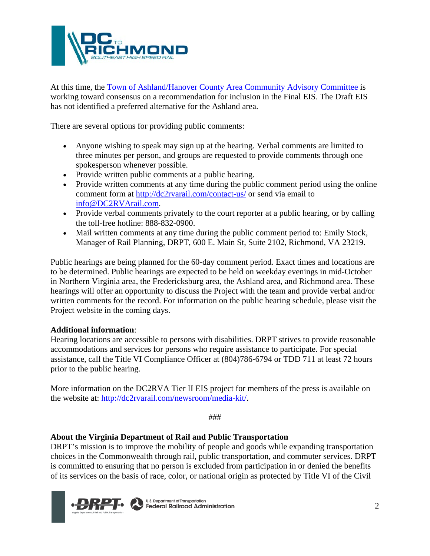

At this time, the [Town of Ashland/Hanover County Area Community Advisory Committee](http://www.dc2rvarail.com/about/ashland-alternatives/ashland-cac/) is working toward consensus on a recommendation for inclusion in the Final EIS. The Draft EIS has not identified a preferred alternative for the Ashland area.

There are several options for providing public comments:

- Anyone wishing to speak may sign up at the hearing. Verbal comments are limited to three minutes per person, and groups are requested to provide comments through one spokesperson whenever possible.
- Provide written public comments at a public hearing.
- Provide written comments at any time during the public comment period using the online comment form at<http://dc2rvarail.com/contact-us/> or send via email to [info@DC2RVArail.com.](mailto:info@DC2RVArail.com)
- Provide verbal comments privately to the court reporter at a public hearing, or by calling the toll-free hotline: 888-832-0900.
- Mail written comments at any time during the public comment period to: Emily Stock, Manager of Rail Planning, DRPT, 600 E. Main St, Suite 2102, Richmond, VA 23219.

Public hearings are being planned for the 60-day comment period. Exact times and locations are to be determined. Public hearings are expected to be held on weekday evenings in mid-October in Northern Virginia area, the Fredericksburg area, the Ashland area, and Richmond area. These hearings will offer an opportunity to discuss the Project with the team and provide verbal and/or written comments for the record. For information on the public hearing schedule, please visit the Project website in the coming days.

## **Additional information**:

Hearing locations are accessible to persons with disabilities. DRPT strives to provide reasonable accommodations and services for persons who require assistance to participate. For special assistance, call the Title VI Compliance Officer at (804)786‐6794 or TDD 711 at least 72 hours prior to the public hearing.

More information on the DC2RVA Tier II EIS project for members of the press is available on the website at: [http://dc2rvarail.com/newsroom/media-kit/.](http://dc2rvarail.com/newsroom/media-kit/)

###

## **About the Virginia Department of Rail and Public Transportation**

DRPT's mission is to improve the mobility of people and goods while expanding transportation choices in the Commonwealth through rail, public transportation, and commuter services. DRPT is committed to ensuring that no person is excluded from participation in or denied the benefits of its services on the basis of race, color, or national origin as protected by Title VI of the Civil



**U.S. Department of Transportation<br>Federal Railroad Administration**